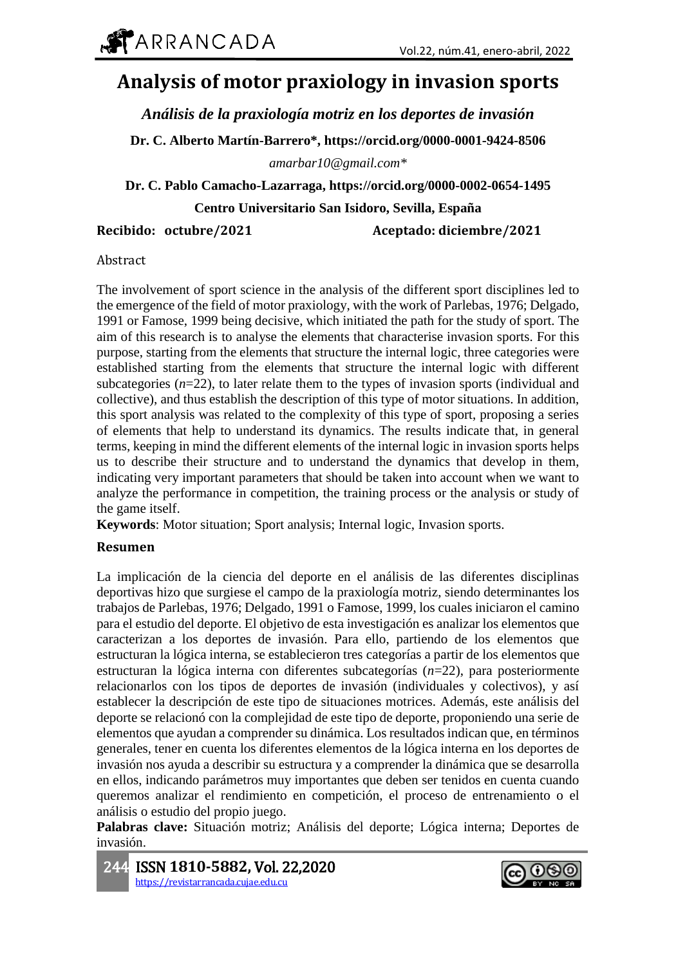# **Analysis of motor praxiology in invasion sports**

*Análisis de la praxiología motriz en los deportes de invasión*

**Dr. C. Alberto Martín-Barrero\*, https://orcid.org/0000-0001-9424-8506**

*amarbar10@gmail.com\**

**Dr. C. Pablo Camacho-Lazarraga, https://orcid.org/0000-0002-0654-1495**

**Centro Universitario San Isidoro, Sevilla, España**

**Recibido: octubre/2021 Aceptado: diciembre/2021**

Abstract

The involvement of sport science in the analysis of the different sport disciplines led to the emergence of the field of motor praxiology, with the work of Parlebas, 1976; Delgado, 1991 or Famose, 1999 being decisive, which initiated the path for the study of sport. The aim of this research is to analyse the elements that characterise invasion sports. For this purpose, starting from the elements that structure the internal logic, three categories were established starting from the elements that structure the internal logic with different subcategories  $(n=22)$ , to later relate them to the types of invasion sports (individual and collective), and thus establish the description of this type of motor situations. In addition, this sport analysis was related to the complexity of this type of sport, proposing a series of elements that help to understand its dynamics. The results indicate that, in general terms, keeping in mind the different elements of the internal logic in invasion sports helps us to describe their structure and to understand the dynamics that develop in them, indicating very important parameters that should be taken into account when we want to analyze the performance in competition, the training process or the analysis or study of the game itself.

**Keywords**: Motor situation; Sport analysis; Internal logic, Invasion sports.

# **Resumen**

La implicación de la ciencia del deporte en el análisis de las diferentes disciplinas deportivas hizo que surgiese el campo de la praxiología motriz, siendo determinantes los trabajos de Parlebas, 1976; Delgado, 1991 o Famose, 1999, los cuales iniciaron el camino para el estudio del deporte. El objetivo de esta investigación es analizar los elementos que caracterizan a los deportes de invasión. Para ello, partiendo de los elementos que estructuran la lógica interna, se establecieron tres categorías a partir de los elementos que estructuran la lógica interna con diferentes subcategorías (*n*=22), para posteriormente relacionarlos con los tipos de deportes de invasión (individuales y colectivos), y así establecer la descripción de este tipo de situaciones motrices. Además, este análisis del deporte se relacionó con la complejidad de este tipo de deporte, proponiendo una serie de elementos que ayudan a comprender su dinámica. Los resultados indican que, en términos generales, tener en cuenta los diferentes elementos de la lógica interna en los deportes de invasión nos ayuda a describir su estructura y a comprender la dinámica que se desarrolla en ellos, indicando parámetros muy importantes que deben ser tenidos en cuenta cuando queremos analizar el rendimiento en competición, el proceso de entrenamiento o el análisis o estudio del propio juego.

**Palabras clave:** Situación motriz; Análisis del deporte; Lógica interna; Deportes de invasión.

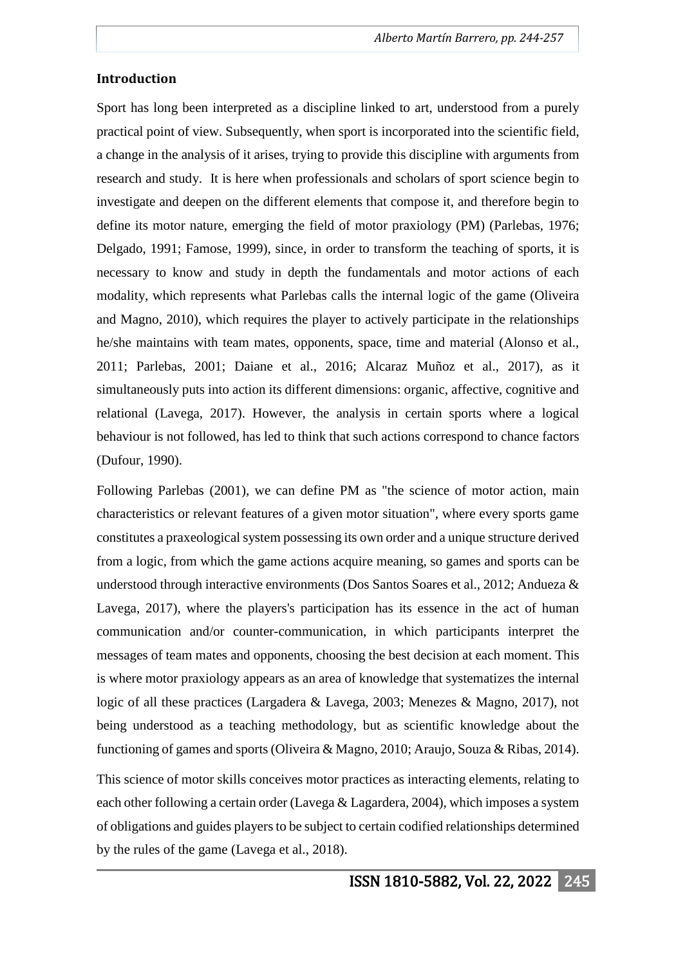#### **Introduction**

Sport has long been interpreted as a discipline linked to art, understood from a purely practical point of view. Subsequently, when sport is incorporated into the scientific field, a change in the analysis of it arises, trying to provide this discipline with arguments from research and study. It is here when professionals and scholars of sport science begin to investigate and deepen on the different elements that compose it, and therefore begin to define its motor nature, emerging the field of motor praxiology (PM) (Parlebas, 1976; Delgado, 1991; Famose, 1999), since, in order to transform the teaching of sports, it is necessary to know and study in depth the fundamentals and motor actions of each modality, which represents what Parlebas calls the internal logic of the game (Oliveira and Magno, 2010), which requires the player to actively participate in the relationships he/she maintains with team mates, opponents, space, time and material (Alonso et al., 2011; Parlebas, 2001; Daiane et al., 2016; Alcaraz Muñoz et al., 2017), as it simultaneously puts into action its different dimensions: organic, affective, cognitive and relational (Lavega, 2017). However, the analysis in certain sports where a logical behaviour is not followed, has led to think that such actions correspond to chance factors (Dufour, 1990).

Following Parlebas (2001), we can define PM as "the science of motor action, main characteristics or relevant features of a given motor situation", where every sports game constitutes a praxeological system possessing its own order and a unique structure derived from a logic, from which the game actions acquire meaning, so games and sports can be understood through interactive environments (Dos Santos Soares et al., 2012; Andueza & Lavega, 2017), where the players's participation has its essence in the act of human communication and/or counter-communication, in which participants interpret the messages of team mates and opponents, choosing the best decision at each moment. This is where motor praxiology appears as an area of knowledge that systematizes the internal logic of all these practices (Largadera & Lavega, 2003; Menezes & Magno, 2017), not being understood as a teaching methodology, but as scientific knowledge about the functioning of games and sports (Oliveira & Magno, 2010; Araujo, Souza & Ribas, 2014).

This science of motor skills conceives motor practices as interacting elements, relating to each other following a certain order (Lavega & Lagardera, 2004), which imposes a system of obligations and guides players to be subject to certain codified relationships determined by the rules of the game (Lavega et al., 2018).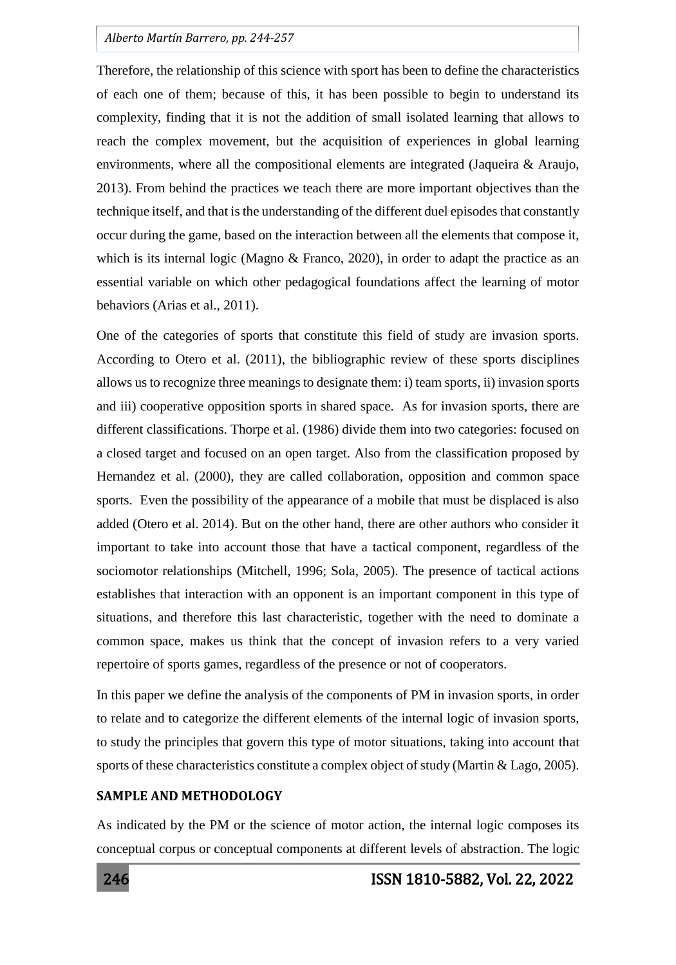Therefore, the relationship of this science with sport has been to define the characteristics of each one of them; because of this, it has been possible to begin to understand its complexity, finding that it is not the addition of small isolated learning that allows to reach the complex movement, but the acquisition of experiences in global learning environments, where all the compositional elements are integrated (Jaqueira & Araujo, 2013). From behind the practices we teach there are more important objectives than the technique itself, and that is the understanding of the different duel episodes that constantly occur during the game, based on the interaction between all the elements that compose it, which is its internal logic (Magno & Franco, 2020), in order to adapt the practice as an essential variable on which other pedagogical foundations affect the learning of motor behaviors (Arias et al., 2011).

One of the categories of sports that constitute this field of study are invasion sports. According to Otero et al. (2011), the bibliographic review of these sports disciplines allows us to recognize three meanings to designate them: i) team sports, ii) invasion sports and iii) cooperative opposition sports in shared space. As for invasion sports, there are different classifications. Thorpe et al. (1986) divide them into two categories: focused on a closed target and focused on an open target. Also from the classification proposed by Hernandez et al. (2000), they are called collaboration, opposition and common space sports. Even the possibility of the appearance of a mobile that must be displaced is also added (Otero et al. 2014). But on the other hand, there are other authors who consider it important to take into account those that have a tactical component, regardless of the sociomotor relationships (Mitchell, 1996; Sola, 2005). The presence of tactical actions establishes that interaction with an opponent is an important component in this type of situations, and therefore this last characteristic, together with the need to dominate a common space, makes us think that the concept of invasion refers to a very varied repertoire of sports games, regardless of the presence or not of cooperators.

In this paper we define the analysis of the components of PM in invasion sports, in order to relate and to categorize the different elements of the internal logic of invasion sports, to study the principles that govern this type of motor situations, taking into account that sports of these characteristics constitute a complex object of study (Martin & Lago, 2005).

## **SAMPLE AND METHODOLOGY**

As indicated by the PM or the science of motor action, the internal logic composes its conceptual corpus or conceptual components at different levels of abstraction. The logic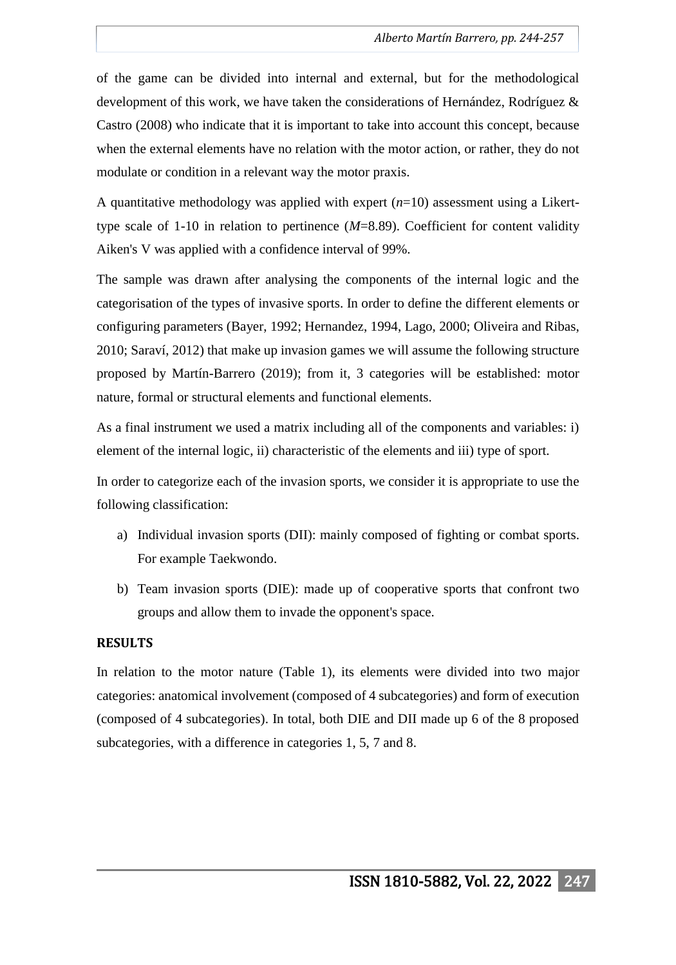of the game can be divided into internal and external, but for the methodological development of this work, we have taken the considerations of Hernández, Rodríguez & Castro (2008) who indicate that it is important to take into account this concept, because when the external elements have no relation with the motor action, or rather, they do not modulate or condition in a relevant way the motor praxis.

A quantitative methodology was applied with expert (*n*=10) assessment using a Likerttype scale of 1-10 in relation to pertinence (*M*=8.89). Coefficient for content validity Aiken's V was applied with a confidence interval of 99%.

The sample was drawn after analysing the components of the internal logic and the categorisation of the types of invasive sports. In order to define the different elements or configuring parameters (Bayer, 1992; Hernandez, 1994, Lago, 2000; Oliveira and Ribas, 2010; Saraví, 2012) that make up invasion games we will assume the following structure proposed by Martín-Barrero (2019); from it, 3 categories will be established: motor nature, formal or structural elements and functional elements.

As a final instrument we used a matrix including all of the components and variables: i) element of the internal logic, ii) characteristic of the elements and iii) type of sport.

In order to categorize each of the invasion sports, we consider it is appropriate to use the following classification:

- a) Individual invasion sports (DII): mainly composed of fighting or combat sports. For example Taekwondo.
- b) Team invasion sports (DIE): made up of cooperative sports that confront two groups and allow them to invade the opponent's space.

# **RESULTS**

In relation to the motor nature (Table 1), its elements were divided into two major categories: anatomical involvement (composed of 4 subcategories) and form of execution (composed of 4 subcategories). In total, both DIE and DII made up 6 of the 8 proposed subcategories, with a difference in categories 1, 5, 7 and 8.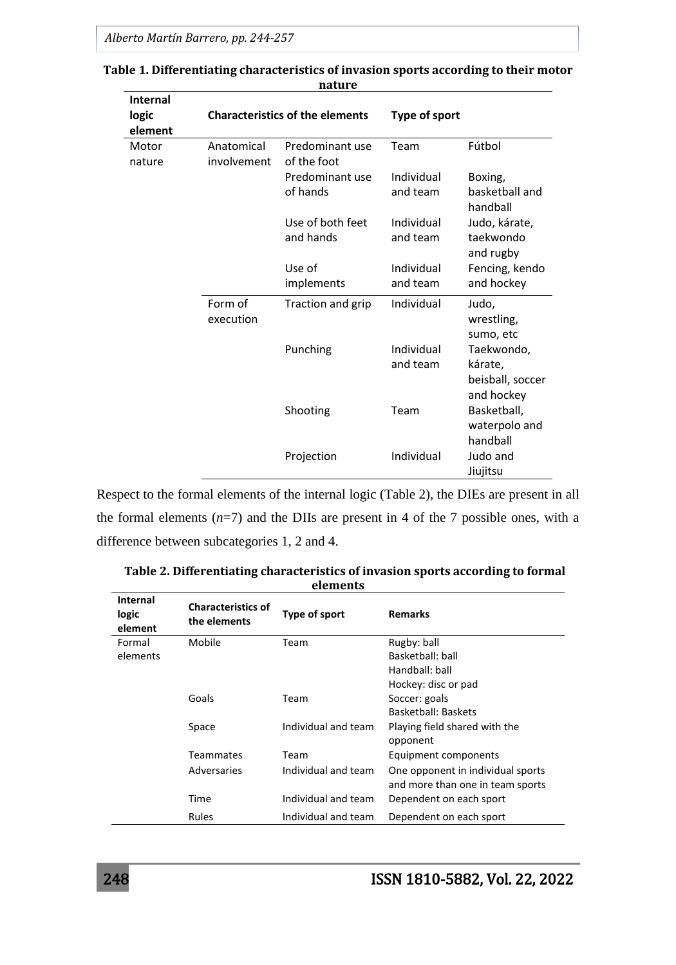| <b>Internal</b><br>logic | <b>Characteristics of the elements</b> |                               | <b>Type of sport</b>   |                                                         |
|--------------------------|----------------------------------------|-------------------------------|------------------------|---------------------------------------------------------|
| element                  | Anatomical                             | Predominant use               | Team                   | Fútbol                                                  |
| Motor<br>nature          | involvement                            | of the foot                   |                        |                                                         |
|                          |                                        | Predominant use               | Individual             | Boxing,                                                 |
|                          |                                        | of hands                      | and team               | basketball and<br>handball                              |
|                          |                                        | Use of both feet<br>and hands | Individual<br>and team | Judo, kárate,<br>taekwondo<br>and rugby                 |
|                          |                                        | Use of                        | Individual             | Fencing, kendo                                          |
|                          |                                        | implements                    | and team               | and hockey                                              |
|                          | Form of<br>execution                   | Traction and grip             | Individual             | Judo,<br>wrestling,<br>sumo, etc                        |
|                          |                                        | Punching                      | Individual<br>and team | Taekwondo,<br>kárate,<br>beisball, soccer<br>and hockey |
|                          |                                        | Shooting                      | Team                   | Basketball,<br>waterpolo and<br>handball                |
|                          |                                        | Projection                    | Individual             | Judo and<br>Jiujitsu                                    |

#### **Table 1. Differentiating characteristics of invasion sports according to their motor nature**

Respect to the formal elements of the internal logic (Table 2), the DIEs are present in all the formal elements  $(n=7)$  and the DIIs are present in 4 of the 7 possible ones, with a difference between subcategories 1, 2 and 4.

| <b>Internal</b><br>logic<br>element | <b>Characteristics of</b><br>the elements | Type of sport       | <b>Remarks</b>                            |
|-------------------------------------|-------------------------------------------|---------------------|-------------------------------------------|
| Formal                              | Mobile                                    | Team                | Rugby: ball                               |
| elements                            |                                           |                     | Basketball: ball                          |
|                                     |                                           |                     | Handball: ball                            |
|                                     |                                           |                     | Hockey: disc or pad                       |
|                                     | Goals                                     | Team                | Soccer: goals                             |
|                                     |                                           |                     | Basketball: Baskets                       |
|                                     | Space                                     | Individual and team | Playing field shared with the<br>opponent |
|                                     | <b>Teammates</b>                          | Team                | Equipment components                      |
|                                     | Adversaries                               | Individual and team | One opponent in individual sports         |
|                                     |                                           |                     | and more than one in team sports          |
|                                     | Time                                      | Individual and team | Dependent on each sport                   |
|                                     | <b>Rules</b>                              | Individual and team | Dependent on each sport                   |

 **Table 2. Differentiating characteristics of invasion sports according to formal elements**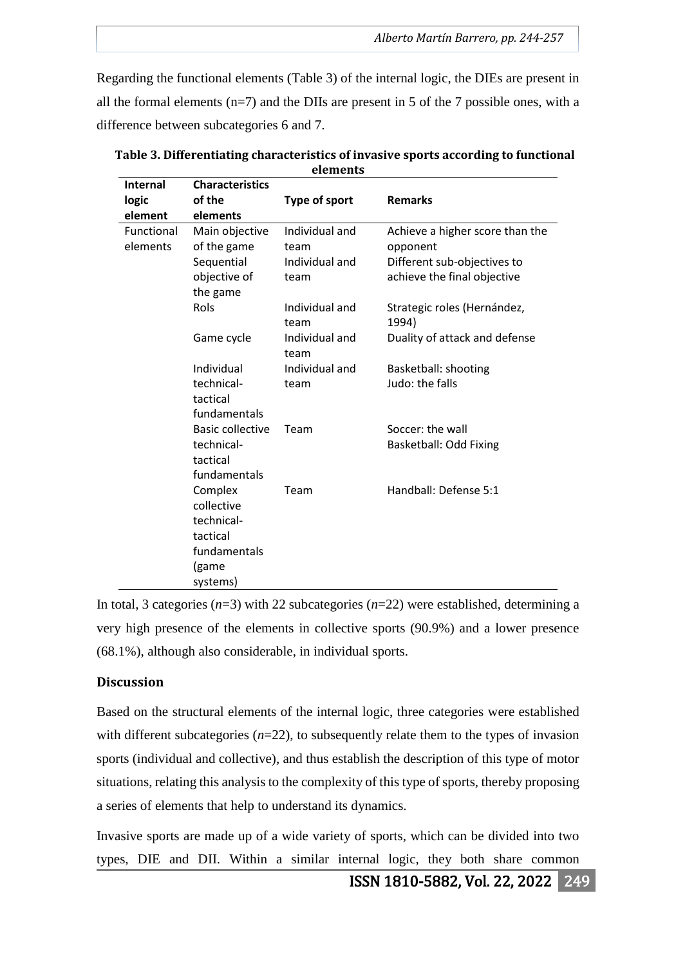Regarding the functional elements (Table 3) of the internal logic, the DIEs are present in all the formal elements  $(n=7)$  and the DIIs are present in 5 of the 7 possible ones, with a difference between subcategories 6 and 7.

| <b>Internal</b><br>logic<br>element | <b>Characteristics</b><br>of the<br>elements | Type of sport          | <b>Remarks</b>                       |
|-------------------------------------|----------------------------------------------|------------------------|--------------------------------------|
| Functional                          | Main objective                               | Individual and         | Achieve a higher score than the      |
| elements                            | of the game                                  | team                   | opponent                             |
|                                     | Sequential                                   | Individual and         | Different sub-objectives to          |
|                                     | objective of                                 | team                   | achieve the final objective          |
|                                     | the game                                     |                        |                                      |
|                                     | Rols                                         | Individual and<br>team | Strategic roles (Hernández,<br>1994) |
|                                     | Game cycle                                   | Individual and<br>team | Duality of attack and defense        |
|                                     | Individual                                   | Individual and         | Basketball: shooting                 |
|                                     | technical-                                   | team                   | Judo: the falls                      |
|                                     | tactical                                     |                        |                                      |
|                                     | fundamentals                                 |                        |                                      |
|                                     | <b>Basic collective</b>                      | Team                   | Soccer: the wall                     |
|                                     | technical-                                   |                        | Basketball: Odd Fixing               |
|                                     | tactical                                     |                        |                                      |
|                                     | fundamentals                                 |                        |                                      |
|                                     | Complex                                      | Team                   | Handball: Defense 5:1                |
|                                     | collective                                   |                        |                                      |
|                                     | technical-                                   |                        |                                      |
|                                     | tactical                                     |                        |                                      |
|                                     | fundamentals                                 |                        |                                      |
|                                     | (game                                        |                        |                                      |
|                                     | systems)                                     |                        |                                      |

 **Table 3. Differentiating characteristics of invasive sports according to functional elements**

In total, 3 categories (*n*=3) with 22 subcategories (*n*=22) were established, determining a very high presence of the elements in collective sports (90.9%) and a lower presence (68.1%), although also considerable, in individual sports.

# **Discussion**

Based on the structural elements of the internal logic, three categories were established with different subcategories  $(n=22)$ , to subsequently relate them to the types of invasion sports (individual and collective), and thus establish the description of this type of motor situations, relating this analysis to the complexity of this type of sports, thereby proposing a series of elements that help to understand its dynamics.

Invasive sports are made up of a wide variety of sports, which can be divided into two types, DIE and DII. Within a similar internal logic, they both share common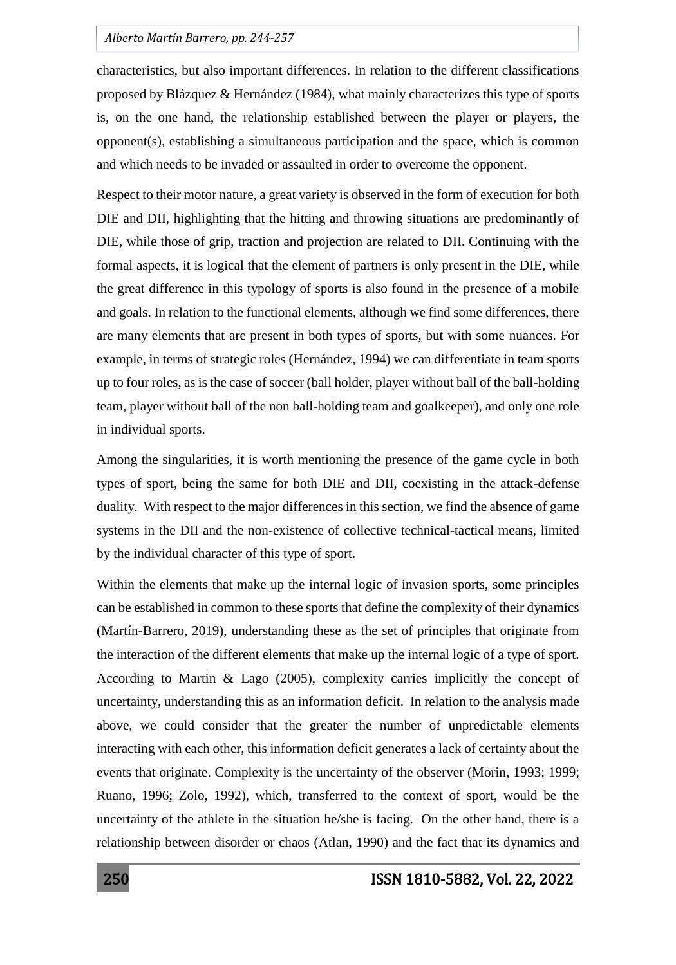characteristics, but also important differences. In relation to the different classifications proposed by Blázquez & Hernández (1984), what mainly characterizes this type of sports is, on the one hand, the relationship established between the player or players, the opponent(s), establishing a simultaneous participation and the space, which is common and which needs to be invaded or assaulted in order to overcome the opponent.

Respect to their motor nature, a great variety is observed in the form of execution for both DIE and DII, highlighting that the hitting and throwing situations are predominantly of DIE, while those of grip, traction and projection are related to DII. Continuing with the formal aspects, it is logical that the element of partners is only present in the DIE, while the great difference in this typology of sports is also found in the presence of a mobile and goals. In relation to the functional elements, although we find some differences, there are many elements that are present in both types of sports, but with some nuances. For example, in terms of strategic roles (Hernández, 1994) we can differentiate in team sports up to four roles, as is the case of soccer (ball holder, player without ball of the ball-holding team, player without ball of the non ball-holding team and goalkeeper), and only one role in individual sports.

Among the singularities, it is worth mentioning the presence of the game cycle in both types of sport, being the same for both DIE and DII, coexisting in the attack-defense duality. With respect to the major differences in this section, we find the absence of game systems in the DII and the non-existence of collective technical-tactical means, limited by the individual character of this type of sport.

Within the elements that make up the internal logic of invasion sports, some principles can be established in common to these sports that define the complexity of their dynamics (Martín-Barrero, 2019), understanding these as the set of principles that originate from the interaction of the different elements that make up the internal logic of a type of sport. According to Martin  $\&$  Lago (2005), complexity carries implicitly the concept of uncertainty, understanding this as an information deficit. In relation to the analysis made above, we could consider that the greater the number of unpredictable elements interacting with each other, this information deficit generates a lack of certainty about the events that originate. Complexity is the uncertainty of the observer (Morin, 1993; 1999; Ruano, 1996; Zolo, 1992), which, transferred to the context of sport, would be the uncertainty of the athlete in the situation he/she is facing. On the other hand, there is a relationship between disorder or chaos (Atlan, 1990) and the fact that its dynamics and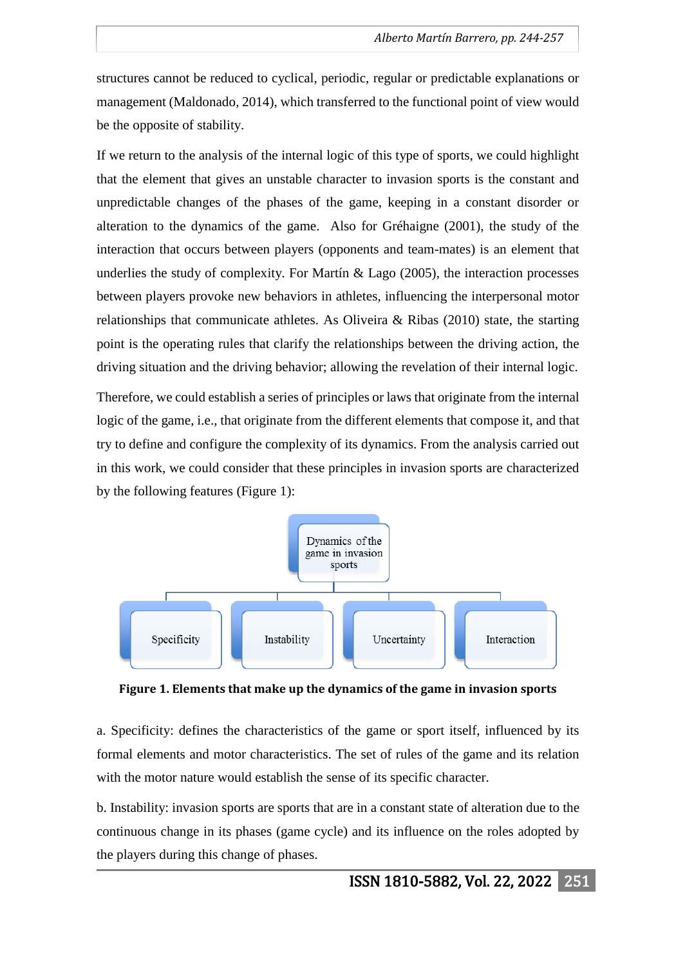structures cannot be reduced to cyclical, periodic, regular or predictable explanations or management (Maldonado, 2014), which transferred to the functional point of view would be the opposite of stability.

If we return to the analysis of the internal logic of this type of sports, we could highlight that the element that gives an unstable character to invasion sports is the constant and unpredictable changes of the phases of the game, keeping in a constant disorder or alteration to the dynamics of the game. Also for Gréhaigne (2001), the study of the interaction that occurs between players (opponents and team-mates) is an element that underlies the study of complexity. For Martín & Lago (2005), the interaction processes between players provoke new behaviors in athletes, influencing the interpersonal motor relationships that communicate athletes. As Oliveira & Ribas (2010) state, the starting point is the operating rules that clarify the relationships between the driving action, the driving situation and the driving behavior; allowing the revelation of their internal logic.

Therefore, we could establish a series of principles or laws that originate from the internal logic of the game, i.e., that originate from the different elements that compose it, and that try to define and configure the complexity of its dynamics. From the analysis carried out in this work, we could consider that these principles in invasion sports are characterized by the following features (Figure 1):



**Figure 1. Elements that make up the dynamics of the game in invasion sports**

a. Specificity: defines the characteristics of the game or sport itself, influenced by its formal elements and motor characteristics. The set of rules of the game and its relation with the motor nature would establish the sense of its specific character.

b. Instability: invasion sports are sports that are in a constant state of alteration due to the continuous change in its phases (game cycle) and its influence on the roles adopted by the players during this change of phases.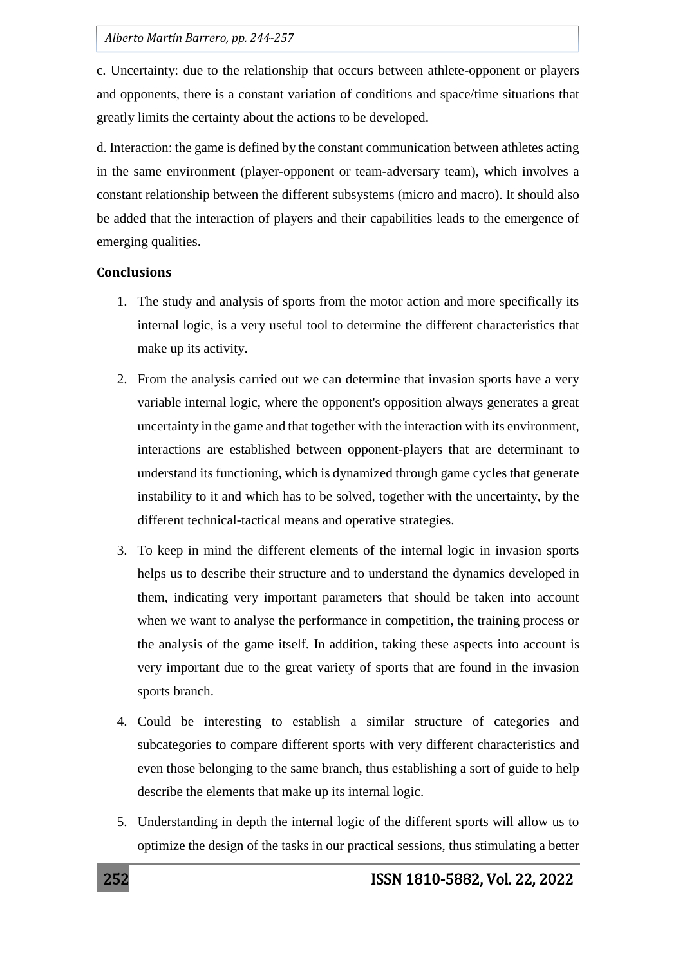c. Uncertainty: due to the relationship that occurs between athlete-opponent or players and opponents, there is a constant variation of conditions and space/time situations that greatly limits the certainty about the actions to be developed.

d. Interaction: the game is defined by the constant communication between athletes acting in the same environment (player-opponent or team-adversary team), which involves a constant relationship between the different subsystems (micro and macro). It should also be added that the interaction of players and their capabilities leads to the emergence of emerging qualities.

## **Conclusions**

- 1. The study and analysis of sports from the motor action and more specifically its internal logic, is a very useful tool to determine the different characteristics that make up its activity.
- 2. From the analysis carried out we can determine that invasion sports have a very variable internal logic, where the opponent's opposition always generates a great uncertainty in the game and that together with the interaction with its environment, interactions are established between opponent-players that are determinant to understand its functioning, which is dynamized through game cycles that generate instability to it and which has to be solved, together with the uncertainty, by the different technical-tactical means and operative strategies.
- 3. To keep in mind the different elements of the internal logic in invasion sports helps us to describe their structure and to understand the dynamics developed in them, indicating very important parameters that should be taken into account when we want to analyse the performance in competition, the training process or the analysis of the game itself. In addition, taking these aspects into account is very important due to the great variety of sports that are found in the invasion sports branch.
- 4. Could be interesting to establish a similar structure of categories and subcategories to compare different sports with very different characteristics and even those belonging to the same branch, thus establishing a sort of guide to help describe the elements that make up its internal logic.
- 5. Understanding in depth the internal logic of the different sports will allow us to optimize the design of the tasks in our practical sessions, thus stimulating a better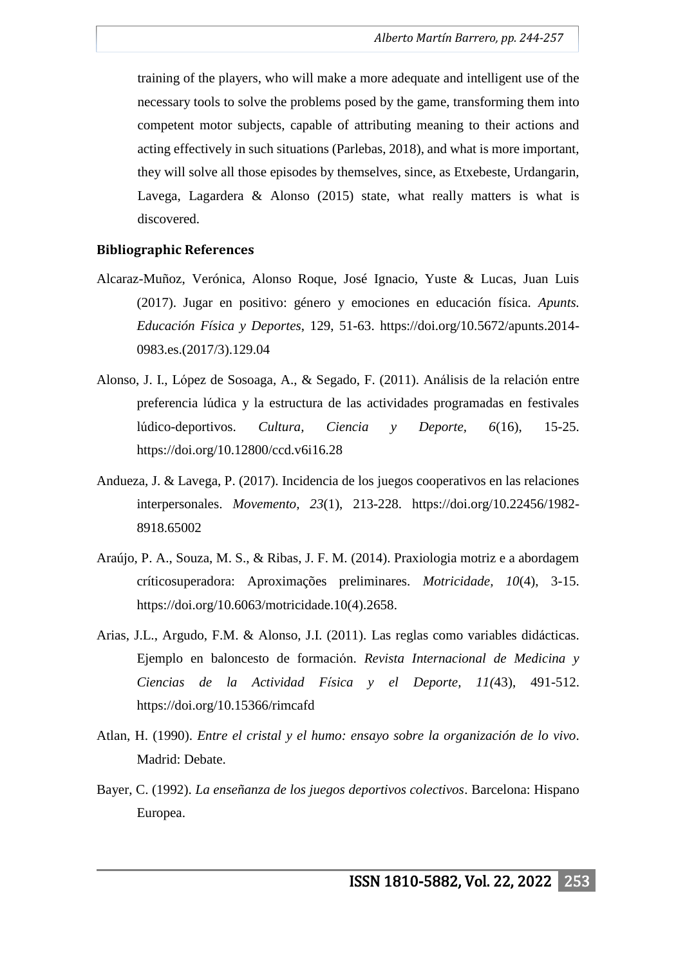training of the players, who will make a more adequate and intelligent use of the necessary tools to solve the problems posed by the game, transforming them into competent motor subjects, capable of attributing meaning to their actions and acting effectively in such situations (Parlebas, 2018), and what is more important, they will solve all those episodes by themselves, since, as Etxebeste, Urdangarin, Lavega, Lagardera & Alonso (2015) state, what really matters is what is discovered.

### **Bibliographic References**

- Alcaraz-Muñoz, Verónica, Alonso Roque, José Ignacio, Yuste & Lucas, Juan Luis (2017). Jugar en positivo: género y emociones en educación física. *Apunts. Educación Física y Deportes*, 129, 51-63. https://doi.org/10.5672/apunts.2014- 0983.es.(2017/3).129.04
- Alonso, J. I., López de Sosoaga, A., & Segado, F. (2011). Análisis de la relación entre preferencia lúdica y la estructura de las actividades programadas en festivales lúdico-deportivos. *Cultura, Ciencia y Deporte, 6*(16), 15-25. https://doi.org/10.12800/ccd.v6i16.28
- Andueza, J. & Lavega, P. (2017). Incidencia de los juegos cooperativos en las relaciones interpersonales. *Movemento, 23*(1), 213-228. https://doi.org/10.22456/1982- 8918.65002
- Araújo, P. A., Souza, M. S., & Ribas, J. F. M. (2014). Praxiologia motriz e a abordagem críticosuperadora: Aproximações preliminares. *Motricidade, 10*(4), 3-15. https://doi.org/10.6063/motricidade.10(4).2658.
- Arias, J.L., Argudo, F.M. & Alonso, J.I. (2011). Las reglas como variables didácticas. Ejemplo en baloncesto de formación. *Revista Internacional de Medicina y Ciencias de la Actividad Física y el Deporte, 11(*43), 491-512. https://doi.org/10.15366/rimcafd
- Atlan, H. (1990). *Entre el cristal y el humo: ensayo sobre la organización de lo vivo*. Madrid: Debate.
- Bayer, C. (1992). *La enseñanza de los juegos deportivos colectivos*. Barcelona: Hispano Europea.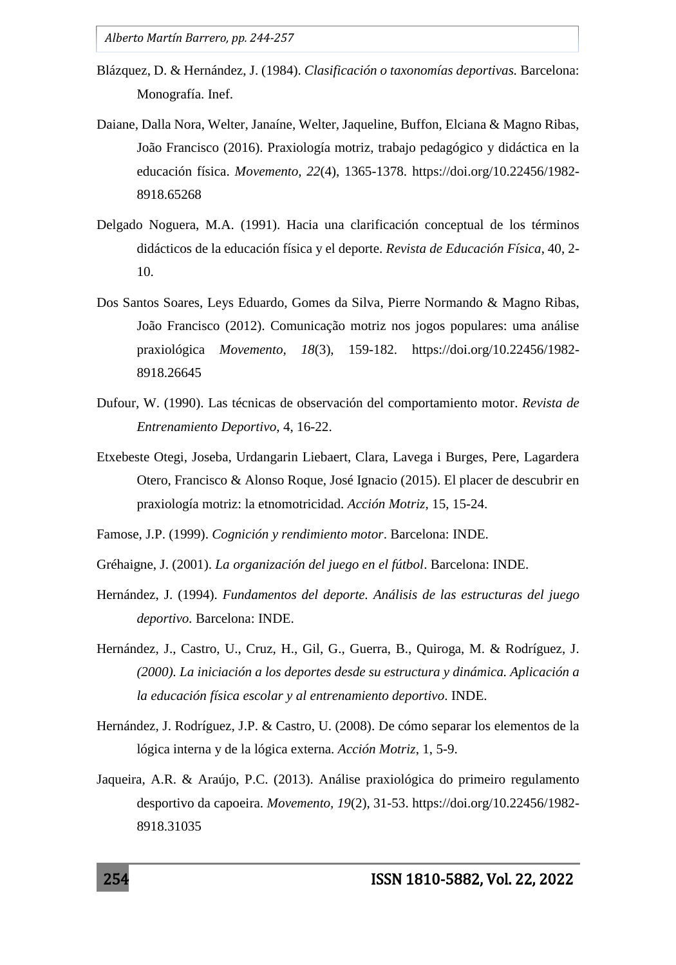- Blázquez, D. & Hernández, J. (1984). *Clasificación o taxonomías deportivas.* Barcelona: Monografía. Inef.
- Daiane, Dalla Nora, Welter, Janaíne, Welter, Jaqueline, Buffon, Elciana & Magno Ribas, João Francisco (2016). Praxiología motriz, trabajo pedagógico y didáctica en la educación física. *Movemento, 22*(4), 1365-1378. https://doi.org/10.22456/1982- 8918.65268
- Delgado Noguera, M.A. (1991). Hacia una clarificación conceptual de los términos didácticos de la educación física y el deporte. *Revista de Educación Física*, 40, 2- 10.
- Dos Santos Soares, Leys Eduardo, Gomes da Silva, Pierre Normando & Magno Ribas, João Francisco (2012). Comunicação motriz nos jogos populares: uma análise praxiológica *Movemento, 18*(3), 159-182. https://doi.org/10.22456/1982- 8918.26645
- Dufour, W. (1990). Las técnicas de observación del comportamiento motor. *Revista de Entrenamiento Deportivo*, 4, 16-22.
- Etxebeste Otegi, Joseba, Urdangarin Liebaert, Clara, Lavega i Burges, Pere, Lagardera Otero, Francisco & Alonso Roque, José Ignacio (2015). El placer de descubrir en praxiología motriz: la etnomotricidad. *Acción Motriz*, 15, 15-24.
- Famose, J.P. (1999). *Cognición y rendimiento motor*. Barcelona: INDE.
- Gréhaigne, J. (2001). *La organización del juego en el fútbol*. Barcelona: INDE.
- Hernández, J. (1994). *Fundamentos del deporte. Análisis de las estructuras del juego deportivo.* Barcelona: INDE.
- Hernández, J., Castro, U., Cruz, H., Gil, G., Guerra, B., Quiroga, M. & Rodríguez, J*. (2000). La iniciación a los deportes desde su estructura y dinámica. Aplicación a la educación física escolar y al entrenamiento deportivo*. INDE.
- Hernández, J. Rodríguez, J.P. & Castro, U. (2008). De cómo separar los elementos de la lógica interna y de la lógica externa. *Acción Motriz*, 1, 5-9.
- Jaqueira, A.R. & Araújo, P.C. (2013). Análise praxiológica do primeiro regulamento desportivo da capoeira. *Movemento, 19*(2), 31-53. https://doi.org/10.22456/1982- 8918.31035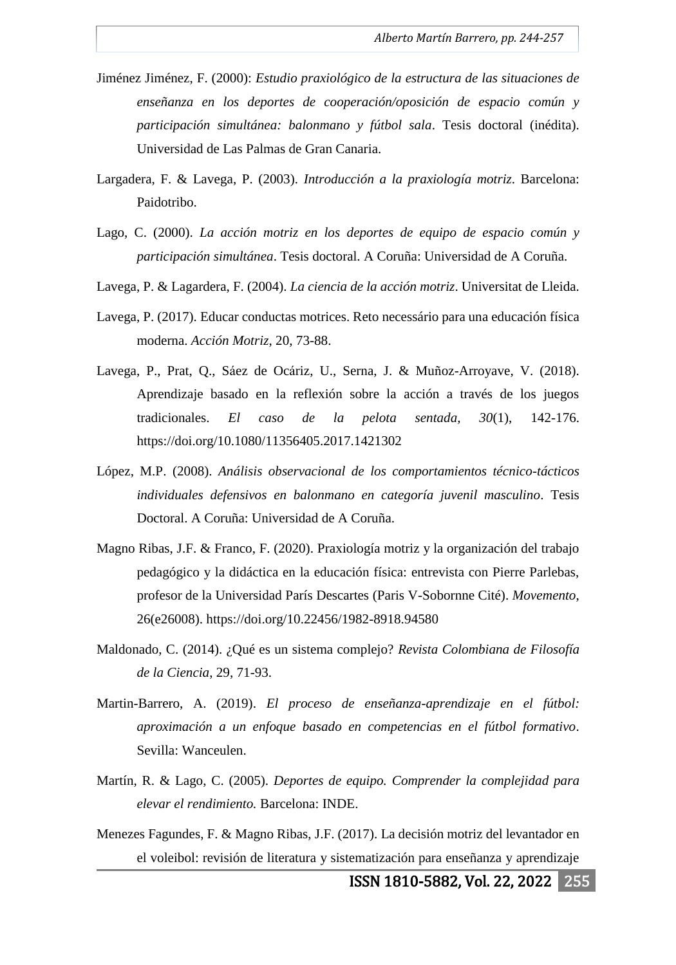- Jiménez Jiménez, F. (2000): *Estudio praxiológico de la estructura de las situaciones de enseñanza en los deportes de cooperación/oposición de espacio común y participación simultánea: balonmano y fútbol sala*. Tesis doctoral (inédita). Universidad de Las Palmas de Gran Canaria.
- Largadera, F. & Lavega, P. (2003). *Introducción a la praxiología motriz*. Barcelona: Paidotribo.
- Lago, C. (2000). *La acción motriz en los deportes de equipo de espacio común y participación simultánea*. Tesis doctoral. A Coruña: Universidad de A Coruña.
- Lavega, P. & Lagardera, F. (2004). *La ciencia de la acción motriz*. Universitat de Lleida.
- Lavega, P. (2017). Educar conductas motrices. Reto necessário para una educación física moderna. *Acción Motriz*, 20, 73-88.
- Lavega, P., Prat, Q., Sáez de Ocáriz, U., Serna, J. & Muñoz-Arroyave, V. (2018). Aprendizaje basado en la reflexión sobre la acción a través de los juegos tradicionales. *El caso de la pelota sentada, 30*(1), 142-176. https://doi.org/10.1080/11356405.2017.1421302
- López, M.P. (2008). *Análisis observacional de los comportamientos técnico-tácticos individuales defensivos en balonmano en categoría juvenil masculino*. Tesis Doctoral. A Coruña: Universidad de A Coruña.
- Magno Ribas, J.F. & Franco, F. (2020). Praxiología motriz y la organización del trabajo pedagógico y la didáctica en la educación física: entrevista con Pierre Parlebas, profesor de la Universidad París Descartes (Paris V-Sobornne Cité). *Movemento*, 26(e26008). https://doi.org/10.22456/1982-8918.94580
- Maldonado, C. (2014). ¿Qué es un sistema complejo? *Revista Colombiana de Filosofía de la Ciencia*, 29, 71-93.
- Martin-Barrero, A. (2019). *El proceso de enseñanza-aprendizaje en el fútbol: aproximación a un enfoque basado en competencias en el fútbol formativo*. Sevilla: Wanceulen.
- Martín, R. & Lago, C. (2005). *Deportes de equipo. Comprender la complejidad para elevar el rendimiento.* Barcelona: INDE.
- Menezes Fagundes, F. & Magno Ribas, J.F. (2017). La decisión motriz del levantador en el voleibol: revisión de literatura y sistematización para enseñanza y aprendizaje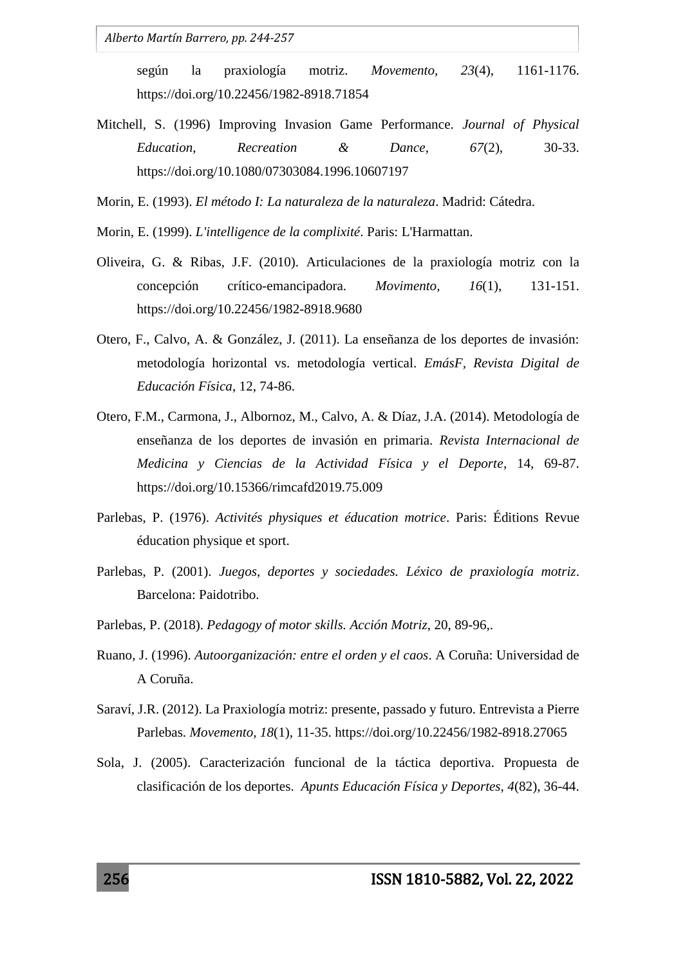según la praxiología motriz. *Movemento, 23*(4), 1161-1176. https://doi.org/10.22456/1982-8918.71854

- Mitchell, S. (1996) Improving Invasion Game Performance. *Journal of Physical Education, Recreation & Dance, 67*(2), 30-33. https://doi.org/10.1080/07303084.1996.10607197
- Morin, E. (1993). *El método I: La naturaleza de la naturaleza*. Madrid: Cátedra.
- Morin, E. (1999). *L'intelligence de la complixité*. Paris: L'Harmattan.
- Oliveira, G. & Ribas, J.F. (2010). Articulaciones de la praxiología motriz con la concepción crítico-emancipadora. *Movimento, 16*(1), 131-151. https://doi.org/10.22456/1982-8918.9680
- Otero, F., Calvo, A. & González, J. (2011). La enseñanza de los deportes de invasión: metodología horizontal vs. metodología vertical. *EmásF, Revista Digital de Educación Física*, 12, 74-86.
- Otero, F.M., Carmona, J., Albornoz, M., Calvo, A. & Díaz, J.A. (2014). Metodología de enseñanza de los deportes de invasión en primaria. *Revista Internacional de Medicina y Ciencias de la Actividad Física y el Deporte*, 14, 69-87. https://doi.org/10.15366/rimcafd2019.75.009
- Parlebas, P. (1976). *Activités physiques et éducation motrice*. Paris: Éditions Revue éducation physique et sport.
- Parlebas, P. (2001). *Juegos, deportes y sociedades. Léxico de praxiología motriz*. Barcelona: Paidotribo.
- Parlebas, P. (2018). *Pedagogy of motor skills. Acción Motriz*, 20, 89-96,.
- Ruano, J. (1996). *Autoorganización: entre el orden y el caos*. A Coruña: Universidad de A Coruña.
- Saraví, J.R. (2012). La Praxiología motriz: presente, passado y futuro. Entrevista a Pierre Parlebas. *Movemento, 18*(1), 11-35. https://doi.org/10.22456/1982-8918.27065
- Sola, J. (2005). Caracterización funcional de la táctica deportiva. Propuesta de clasificación de los deportes. *Apunts Educación Física y Deportes, 4*(82), 36-44.